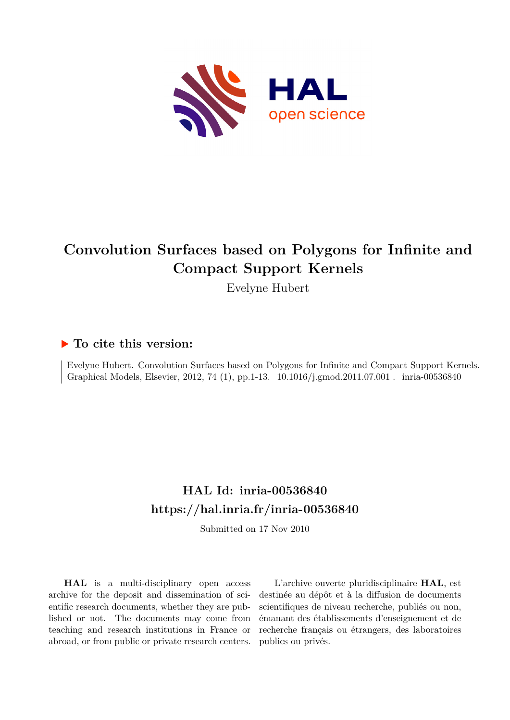

# **Convolution Surfaces based on Polygons for Infinite and Compact Support Kernels**

Evelyne Hubert

## **To cite this version:**

Evelyne Hubert. Convolution Surfaces based on Polygons for Infinite and Compact Support Kernels. Graphical Models, Elsevier, 2012, 74 (1), pp.1-13. 10.1016/j.gmod.2011.07.001 . inria-00536840

## **HAL Id: inria-00536840 <https://hal.inria.fr/inria-00536840>**

Submitted on 17 Nov 2010

**HAL** is a multi-disciplinary open access archive for the deposit and dissemination of scientific research documents, whether they are published or not. The documents may come from teaching and research institutions in France or abroad, or from public or private research centers.

L'archive ouverte pluridisciplinaire **HAL**, est destinée au dépôt et à la diffusion de documents scientifiques de niveau recherche, publiés ou non, émanant des établissements d'enseignement et de recherche français ou étrangers, des laboratoires publics ou privés.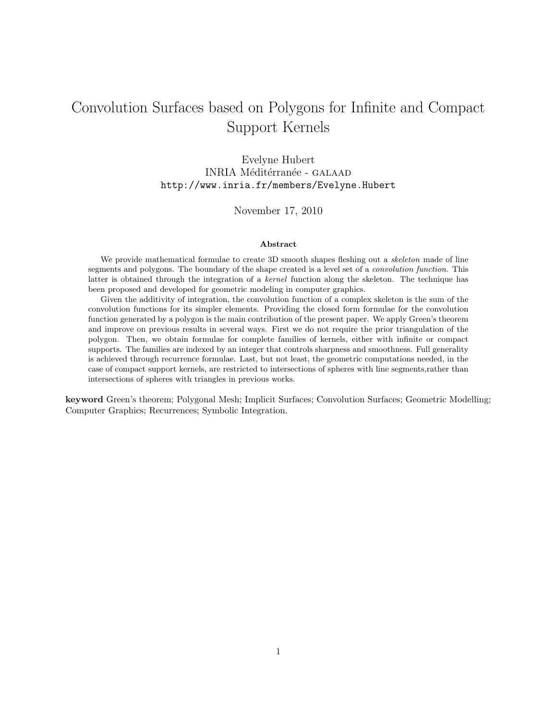## Convolution Surfaces based on Polygons for Infinite and Compact Support Kernels

Evelyne Hubert INRIA Méditérranée - GALAAD http://www.inria.fr/members/Evelyne.Hubert

### November 17, 2010

#### Abstract

We provide mathematical formulae to create 3D smooth shapes fleshing out a *skeleton* made of line segments and polygons. The boundary of the shape created is a level set of a convolution function. This latter is obtained through the integration of a kernel function along the skeleton. The technique has been proposed and developed for geometric modeling in computer graphics.

Given the additivity of integration, the convolution function of a complex skeleton is the sum of the convolution functions for its simpler elements. Providing the closed form formulae for the convolution function generated by a polygon is the main contribution of the present paper. We apply Green's theorem and improve on previous results in several ways. First we do not require the prior triangulation of the polygon. Then, we obtain formulae for complete families of kernels, either with infinite or compact supports. The families are indexed by an integer that controls sharpness and smoothness. Full generality is achieved through recurrence formulae. Last, but not least, the geometric computations needed, in the case of compact support kernels, are restricted to intersections of spheres with line segments,rather than intersections of spheres with triangles in previous works.

keyword Green's theorem; Polygonal Mesh; Implicit Surfaces; Convolution Surfaces; Geometric Modelling; Computer Graphics; Recurrences; Symbolic Integration.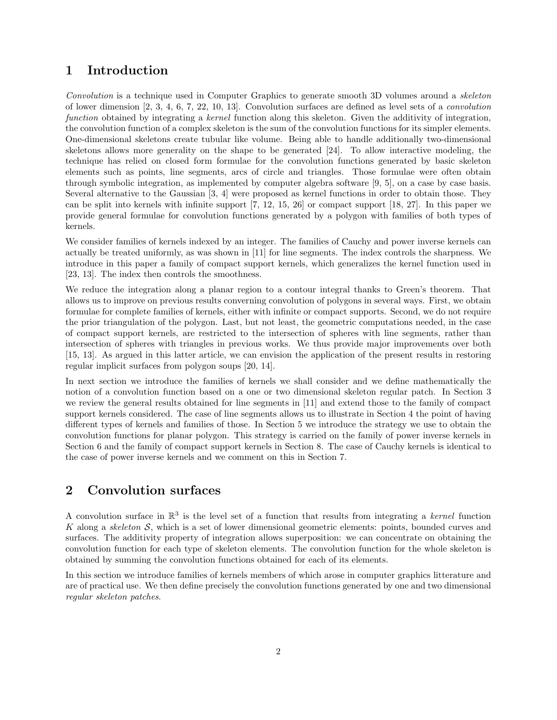## 1 Introduction

Convolution is a technique used in Computer Graphics to generate smooth 3D volumes around a skeleton of lower dimension [2, 3, 4, 6, 7, 22, 10, 13]. Convolution surfaces are defined as level sets of a convolution function obtained by integrating a kernel function along this skeleton. Given the additivity of integration, the convolution function of a complex skeleton is the sum of the convolution functions for its simpler elements. One-dimensional skeletons create tubular like volume. Being able to handle additionally two-dimensional skeletons allows more generality on the shape to be generated [24]. To allow interactive modeling, the technique has relied on closed form formulae for the convolution functions generated by basic skeleton elements such as points, line segments, arcs of circle and triangles. Those formulae were often obtain through symbolic integration, as implemented by computer algebra software [9, 5], on a case by case basis. Several alternative to the Gaussian [3, 4] were proposed as kernel functions in order to obtain those. They can be split into kernels with infinite support [7, 12, 15, 26] or compact support [18, 27]. In this paper we provide general formulae for convolution functions generated by a polygon with families of both types of kernels.

We consider families of kernels indexed by an integer. The families of Cauchy and power inverse kernels can actually be treated uniformly, as was shown in [11] for line segments. The index controls the sharpness. We introduce in this paper a family of compact support kernels, which generalizes the kernel function used in [23, 13]. The index then controls the smoothness.

We reduce the integration along a planar region to a contour integral thanks to Green's theorem. That allows us to improve on previous results converning convolution of polygons in several ways. First, we obtain formulae for complete families of kernels, either with infinite or compact supports. Second, we do not require the prior triangulation of the polygon. Last, but not least, the geometric computations needed, in the case of compact support kernels, are restricted to the intersection of spheres with line segments, rather than intersection of spheres with triangles in previous works. We thus provide major improvements over both [15, 13]. As argued in this latter article, we can envision the application of the present results in restoring regular implicit surfaces from polygon soups [20, 14].

In next section we introduce the families of kernels we shall consider and we define mathematically the notion of a convolution function based on a one or two dimensional skeleton regular patch. In Section 3 we review the general results obtained for line segments in [11] and extend those to the family of compact support kernels considered. The case of line segments allows us to illustrate in Section 4 the point of having different types of kernels and families of those. In Section 5 we introduce the strategy we use to obtain the convolution functions for planar polygon. This strategy is carried on the family of power inverse kernels in Section 6 and the family of compact support kernels in Section 8. The case of Cauchy kernels is identical to the case of power inverse kernels and we comment on this in Section 7.

## 2 Convolution surfaces

A convolution surface in  $\mathbb{R}^3$  is the level set of a function that results from integrating a kernel function K along a skeleton S, which is a set of lower dimensional geometric elements: points, bounded curves and surfaces. The additivity property of integration allows superposition: we can concentrate on obtaining the convolution function for each type of skeleton elements. The convolution function for the whole skeleton is obtained by summing the convolution functions obtained for each of its elements.

In this section we introduce families of kernels members of which arose in computer graphics litterature and are of practical use. We then define precisely the convolution functions generated by one and two dimensional regular skeleton patches.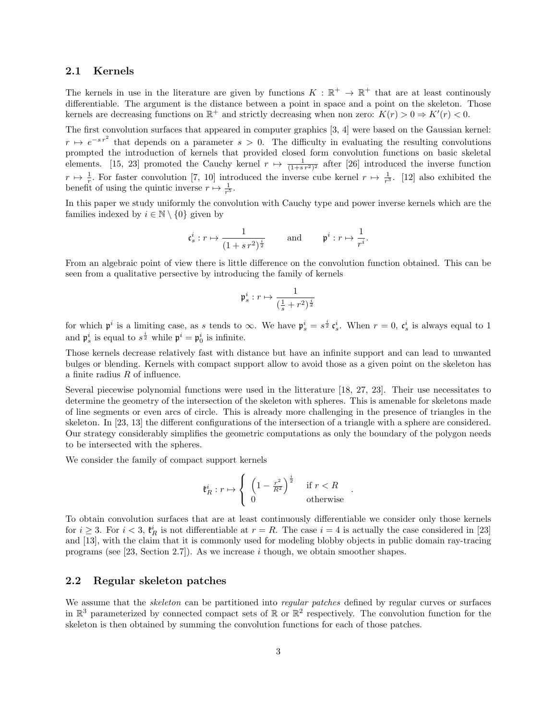#### 2.1 Kernels

The kernels in use in the literature are given by functions  $K : \mathbb{R}^+ \to \mathbb{R}^+$  that are at least continously differentiable. The argument is the distance between a point in space and a point on the skeleton. Those kernels are decreasing functions on  $\mathbb{R}^+$  and strictly decreasing when non zero:  $K(r) > 0 \Rightarrow K'(r) < 0$ .

The first convolution surfaces that appeared in computer graphics [3, 4] were based on the Gaussian kernel:  $r \mapsto e^{-s r^2}$  that depends on a parameter  $s > 0$ . The difficulty in evaluating the resulting convolutions prompted the introduction of kernels that provided closed form convolution functions on basic skeletal elements. [15, 23] promoted the Cauchy kernel  $r \mapsto \frac{1}{(1+s^2)^2}$  after [26] introduced the inverse function  $r \mapsto \frac{1}{r}$ . For faster convolution [7, 10] introduced the inverse cube kernel  $r \mapsto \frac{1}{r^3}$ . [12] also exhibited the benefit of using the quintic inverse  $r \mapsto \frac{1}{r^5}$ .

In this paper we study uniformly the convolution with Cauchy type and power inverse kernels which are the families indexed by  $i \in \mathbb{N} \setminus \{0\}$  given by

$$
\mathfrak{c}_s^i : r \mapsto \frac{1}{(1+s\,r^2)^{\frac{i}{2}}} \qquad \text{and} \qquad \mathfrak{p}^i : r \mapsto \frac{1}{r^i}.
$$

From an algebraic point of view there is little difference on the convolution function obtained. This can be seen from a qualitative persective by introducing the family of kernels

$$
\mathfrak{p}^i_s : r \mapsto \frac{1}{(\frac{1}{s} + r^2)^{\frac{i}{2}}}
$$

for which  $\mathfrak{p}^i$  is a limiting case, as s tends to  $\infty$ . We have  $\mathfrak{p}_s^i = s^{\frac{i}{2}} \mathfrak{c}_s^i$ . When  $r = 0$ ,  $\mathfrak{c}_s^i$  is always equal to 1 and  $\mathfrak{p}_s^i$  is equal to  $s^{\frac{i}{2}}$  while  $\mathfrak{p}^i = \mathfrak{p}_0^i$  is infinite.

Those kernels decrease relatively fast with distance but have an infinite support and can lead to unwanted bulges or blending. Kernels with compact support allow to avoid those as a given point on the skeleton has a finite radius R of influence.

Several piecewise polynomial functions were used in the litterature [18, 27, 23]. Their use necessitates to determine the geometry of the intersection of the skeleton with spheres. This is amenable for skeletons made of line segments or even arcs of circle. This is already more challenging in the presence of triangles in the skeleton. In [23, 13] the different configurations of the intersection of a triangle with a sphere are considered. Our strategy considerably simplifies the geometric computations as only the boundary of the polygon needs to be intersected with the spheres.

We consider the family of compact support kernels

$$
\mathfrak{k}_R^i : r \mapsto \left\{ \begin{array}{ll} \left(1 - \frac{r^2}{R^2}\right)^{\frac{i}{2}} & \text{if } r < R \\ 0 & \text{otherwise} \end{array} \right.
$$

.

To obtain convolution surfaces that are at least continuously differentiable we consider only those kernels for  $i \geq 3$ . For  $i < 3$ ,  $\mathfrak{k}_R^i$  is not differentiable at  $r = R$ . The case  $i = 4$  is actually the case considered in [23] and [13], with the claim that it is commonly used for modeling blobby objects in public domain ray-tracing programs (see [23, Section 2.7]). As we increase i though, we obtain smoother shapes.

#### 2.2 Regular skeleton patches

We assume that the *skeleton* can be partitioned into *regular patches* defined by regular curves or surfaces in  $\mathbb{R}^3$  parameterized by connected compact sets of  $\mathbb{R}$  or  $\mathbb{R}^2$  respectively. The convolution function for the skeleton is then obtained by summing the convolution functions for each of those patches.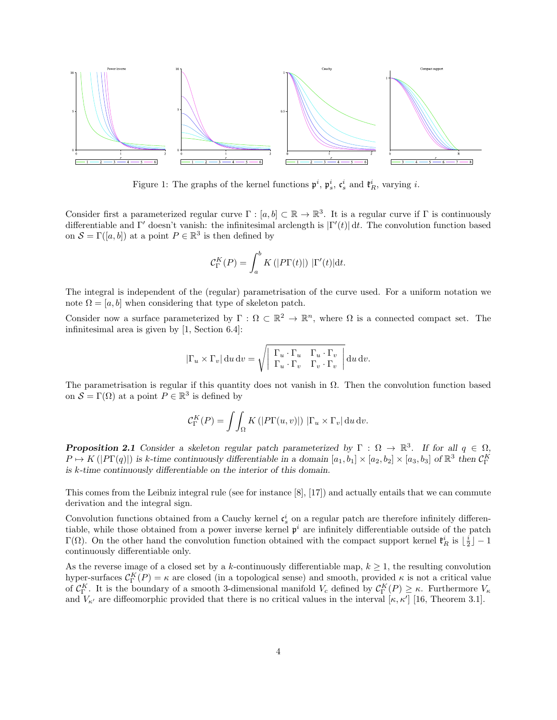

Figure 1: The graphs of the kernel functions  $\mathfrak{p}^i$ ,  $\mathfrak{p}_s^i$ ,  $\mathfrak{c}_s^i$  and  $\mathfrak{k}_R^i$ , varying *i*.

Consider first a parameterized regular curve  $\Gamma : [a, b] \subset \mathbb{R} \to \mathbb{R}^3$ . It is a regular curve if  $\Gamma$  is continuously differentiable and Γ' doesn't vanish: the infinitesimal arclength is  $|\Gamma'(t)| dt$ . The convolution function based on  $S = \Gamma([a, b])$  at a point  $P \in \mathbb{R}^3$  is then defined by

$$
\mathcal{C}_{\Gamma}^{K}(P) = \int_{a}^{b} K\left(|P\Gamma(t)|\right) |\Gamma'(t)| \mathrm{d}t.
$$

The integral is independent of the (regular) parametrisation of the curve used. For a uniform notation we note  $\Omega = [a, b]$  when considering that type of skeleton patch.

Consider now a surface parameterized by  $\Gamma : \Omega \subset \mathbb{R}^2 \to \mathbb{R}^n$ , where  $\Omega$  is a connected compact set. The infinitesimal area is given by [1, Section 6.4]:

$$
|\Gamma_u \times \Gamma_v| \, \mathrm{d}u \, \mathrm{d}v = \sqrt{\begin{array}{ccc} \Gamma_u \cdot \Gamma_u & \Gamma_u \cdot \Gamma_v \\ \Gamma_u \cdot \Gamma_v & \Gamma_v \cdot \Gamma_v \end{array}} \, \mathrm{d}u \, \mathrm{d}v.
$$

The parametrisation is regular if this quantity does not vanish in  $\Omega$ . Then the convolution function based on  $S = \Gamma(\Omega)$  at a point  $P \in \mathbb{R}^3$  is defined by

$$
\mathcal{C}_{\Gamma}^{K}(P) = \iint_{\Omega} K\left(|P\Gamma(u,v)|\right) |\Gamma_u \times \Gamma_v| \, \mathrm{d}u \, \mathrm{d}v.
$$

**Proposition 2.1** Consider a skeleton regular patch parameterized by  $\Gamma : \Omega \to \mathbb{R}^3$ . If for all  $q \in \Omega$ ,  $P \mapsto K(|P\Gamma(q)|)$  is k-time continuously differentiable in a domain  $[a_1, b_1] \times [a_2, b_2] \times [a_3, b_3]$  of  $\mathbb{R}^3$  then  $\mathcal{C}_{\Gamma}^K$ is k-time continuously differentiable on the interior of this domain.

This comes from the Leibniz integral rule (see for instance [8], [17]) and actually entails that we can commute derivation and the integral sign.

Convolution functions obtained from a Cauchy kernel  $\mathfrak{c}_s^i$  on a regular patch are therefore infinitely differentiable, while those obtained from a power inverse kernel  $p^i$  are infinitely differentiable outside of the patch Γ(Ω). On the other hand the convolution function obtained with the compact support kernel  $\mathfrak{k}_R^i$  is  $\lfloor \frac{i}{2} \rfloor - 1$ continuously differentiable only.

As the reverse image of a closed set by a k-continuously differentiable map,  $k \geq 1$ , the resulting convolution hyper-surfaces  $C_{\Gamma}^{K}(P) = \kappa$  are closed (in a topological sense) and smooth, provided  $\kappa$  is not a critical value of  $\mathcal{C}_{\Gamma}^{K}$ . It is the boundary of a smooth 3-dimensional manifold  $V_c$  defined by  $\mathcal{C}_{\Gamma}^{K}(P) \geq \kappa$ . Furthermore  $V_{\kappa}$ and  $V_{\kappa'}$  are diffeomorphic provided that there is no critical values in the interval  $[\kappa, \kappa']$  [16, Theorem 3.1].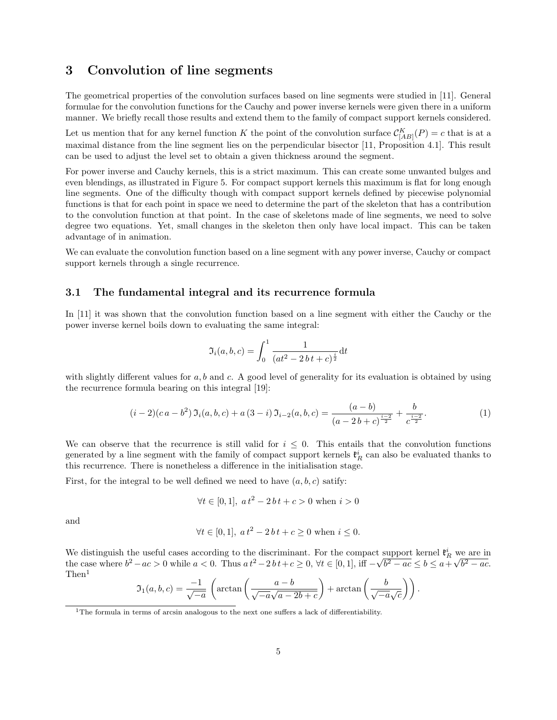## 3 Convolution of line segments

The geometrical properties of the convolution surfaces based on line segments were studied in [11]. General formulae for the convolution functions for the Cauchy and power inverse kernels were given there in a uniform manner. We briefly recall those results and extend them to the family of compact support kernels considered.

Let us mention that for any kernel function K the point of the convolution surface  $\mathcal{C}_{[AB]}^K(P) = c$  that is at a maximal distance from the line segment lies on the perpendicular bisector [11, Proposition 4.1]. This result can be used to adjust the level set to obtain a given thickness around the segment.

For power inverse and Cauchy kernels, this is a strict maximum. This can create some unwanted bulges and even blendings, as illustrated in Figure 5. For compact support kernels this maximum is flat for long enough line segments. One of the difficulty though with compact support kernels defined by piecewise polynomial functions is that for each point in space we need to determine the part of the skeleton that has a contribution to the convolution function at that point. In the case of skeletons made of line segments, we need to solve degree two equations. Yet, small changes in the skeleton then only have local impact. This can be taken advantage of in animation.

We can evaluate the convolution function based on a line segment with any power inverse, Cauchy or compact support kernels through a single recurrence.

#### 3.1 The fundamental integral and its recurrence formula

In [11] it was shown that the convolution function based on a line segment with either the Cauchy or the power inverse kernel boils down to evaluating the same integral:

$$
\mathfrak{I}_i(a,b,c) = \int_0^1 \frac{1}{(at^2 - 2bt + c)^{\frac{i}{2}}} dt
$$

with slightly different values for  $a, b$  and  $c$ . A good level of generality for its evaluation is obtained by using the recurrence formula bearing on this integral [19]:

$$
(i-2)(ca - b^2) \mathfrak{I}_i(a, b, c) + a(3-i) \mathfrak{I}_{i-2}(a, b, c) = \frac{(a-b)}{(a-2b+c)^{\frac{i-2}{2}}} + \frac{b}{c^{\frac{i-2}{2}}}.
$$
 (1)

We can observe that the recurrence is still valid for  $i \leq 0$ . This entails that the convolution functions generated by a line segment with the family of compact support kernels  $\mathfrak{k}_R^i$  can also be evaluated thanks to this recurrence. There is nonetheless a difference in the initialisation stage.

First, for the integral to be well defined we need to have  $(a, b, c)$  satify:

$$
\forall t \in [0, 1], \ a \, t^2 - 2 \, b \, t + c > 0 \text{ when } i > 0
$$

and

$$
\forall t \in [0, 1], \ a t^2 - 2 b t + c \ge 0 \text{ when } i \le 0.
$$

We distinguish the useful cases according to the discriminant. For the compact support kernel  $\mathfrak{k}_R^i$  we are in the case where  $b^2 - ac > 0$  while  $a < 0$ . Thus  $at^2 - 2bt + c \ge 0$ ,  $\forall t \in [0, 1]$ , iff  $-\sqrt{b^2 - ac} \le b \le a + \sqrt{b^2 - ac}$ . Then<sup>1</sup>

$$
\mathfrak{I}_1(a,b,c) = \frac{-1}{\sqrt{-a}} \left( \arctan\left(\frac{a-b}{\sqrt{-a}\sqrt{a-2b+c}}\right) + \arctan\left(\frac{b}{\sqrt{-a}\sqrt{c}}\right) \right).
$$

<sup>&</sup>lt;sup>1</sup>The formula in terms of arcsin analogous to the next one suffers a lack of differentiability.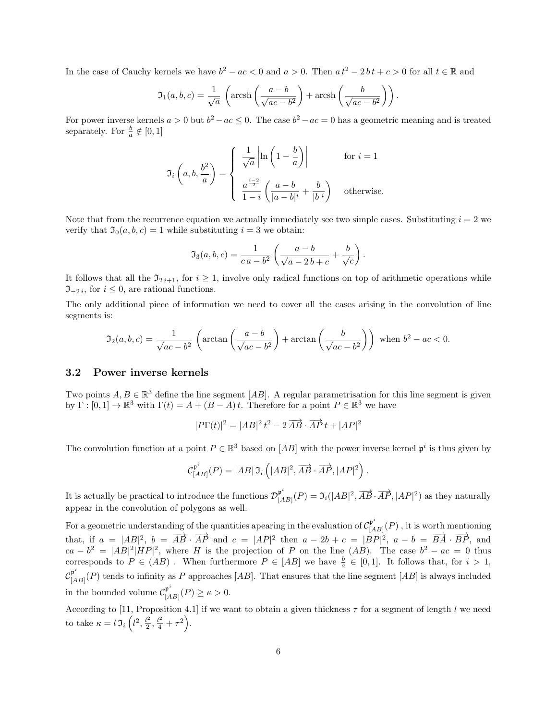In the case of Cauchy kernels we have  $b^2 - ac < 0$  and  $a > 0$ . Then  $a t^2 - 2 b t + c > 0$  for all  $t \in \mathbb{R}$  and

$$
\mathfrak{I}_1(a,b,c) = \frac{1}{\sqrt{a}} \left( \operatorname{arcsh}\left( \frac{a-b}{\sqrt{ac-b^2}} \right) + \operatorname{arcsh}\left( \frac{b}{\sqrt{ac-b^2}} \right) \right).
$$

For power inverse kernels  $a > 0$  but  $b^2 - ac \le 0$ . The case  $b^2 - ac = 0$  has a geometric meaning and is treated separately. For  $\frac{b}{a} \notin [0, 1]$ 

$$
\mathfrak{I}_i\left(a,b,\frac{b^2}{a}\right) = \begin{cases} \frac{1}{\sqrt{a}} \left| \ln\left(1-\frac{b}{a}\right) \right| & \text{for } i = 1\\ \frac{a^{\frac{i-2}{2}}}{1-i} \left(\frac{a-b}{|a-b|^i} + \frac{b}{|b|^i}\right) & \text{otherwise.} \end{cases}
$$

Note that from the recurrence equation we actually immediately see two simple cases. Substituting  $i = 2$  we verify that  $\mathfrak{I}_0(a, b, c) = 1$  while substituting  $i = 3$  we obtain:

$$
\mathfrak{I}_3(a, b, c) = \frac{1}{c a - b^2} \left( \frac{a - b}{\sqrt{a - 2b + c}} + \frac{b}{\sqrt{c}} \right).
$$

It follows that all the  $\mathfrak{I}_{2i+1}$ , for  $i \geq 1$ , involve only radical functions on top of arithmetic operations while  $\mathfrak{I}_{-2i}$ , for  $i \leq 0$ , are rational functions.

The only additional piece of information we need to cover all the cases arising in the convolution of line segments is:

$$
\mathfrak{I}_2(a,b,c) = \frac{1}{\sqrt{ac-b^2}} \left( \arctan\left(\frac{a-b}{\sqrt{ac-b^2}}\right) + \arctan\left(\frac{b}{\sqrt{ac-b^2}}\right) \right) \text{ when } b^2 - ac < 0.
$$

#### 3.2 Power inverse kernels

Two points  $A, B \in \mathbb{R}^3$  define the line segment [AB]. A regular parametrisation for this line segment is given by  $\Gamma : [0,1] \to \mathbb{R}^3$  with  $\Gamma(t) = A + (B - A)t$ . Therefore for a point  $P \in \mathbb{R}^3$  we have

$$
|P\Gamma(t)|^2 = |AB|^2 t^2 - 2\overrightarrow{AB} \cdot \overrightarrow{AP} t + |AP|^2
$$

The convolution function at a point  $P \in \mathbb{R}^3$  based on  $[AB]$  with the power inverse kernel  $\mathfrak{p}^i$  is thus given by

$$
\mathcal{C}^{\mathfrak{p}^i}_{[AB]}(P) = |AB| \, \mathfrak{I}_i \left( |AB|^2, \overrightarrow{AB} \cdot \overrightarrow{AP}, |AP|^2 \right).
$$

It is actually be practical to introduce the functions  $\mathcal{D}_{[A}^{\mathfrak{p}^i}$  $[\mathbb{A}_B]^{\mathfrak{p}^*} (P) = \mathfrak{I}_i(|AB|^2, \overrightarrow{AB} \cdot \overrightarrow{AP}, |AP|^2)$  as they naturally appear in the convolution of polygons as well.

For a geometric understanding of the quantities apearing in the evaluation of  $\mathcal{C}_{[A}^{\mathfrak{p}^i}$  $\prod_{[AB]}^{p}(P)$ , it is worth mentioning that, if  $a = |AB|^2$ ,  $b = \overrightarrow{AB} \cdot \overrightarrow{AP}$  and  $c = |AP|^2$  then  $a - 2b + c = |BP|^2$ ,  $a - b = \overrightarrow{BA} \cdot \overrightarrow{BP}$ , and  $ca - b^2 = |AB|^2 |HP|^2$ , where H is the projection of P on the line (AB). The case  $b^2 - ac = 0$  thus corresponds to  $P \in (AB)$ . When furthermore  $P \in [AB]$  we have  $\frac{b}{a} \in [0,1]$ . It follows that, for  $i > 1$ ,  $\mathcal{C}^\mathfrak{p}_{[2]}$  $\binom{\mu}{[AB]}(P)$  tends to infinity as P approaches  $[AB]$ . That ensures that the line segment  $[AB]$  is always included in the bounded volume  $\mathcal{C}_{\left[ A \right]}^{\mathfrak{p}^i}$  $_{[AB]}^{\mu}(P) \geq \kappa > 0.$ 

According to [11, Proposition 4.1] if we want to obtain a given thickness  $\tau$  for a segment of length l we need to take  $\kappa = l \mathfrak{I}_i \left( l^2, \frac{l^2}{2} \right)$  $\frac{l^2}{2}, \frac{l^2}{4} + \tau^2.$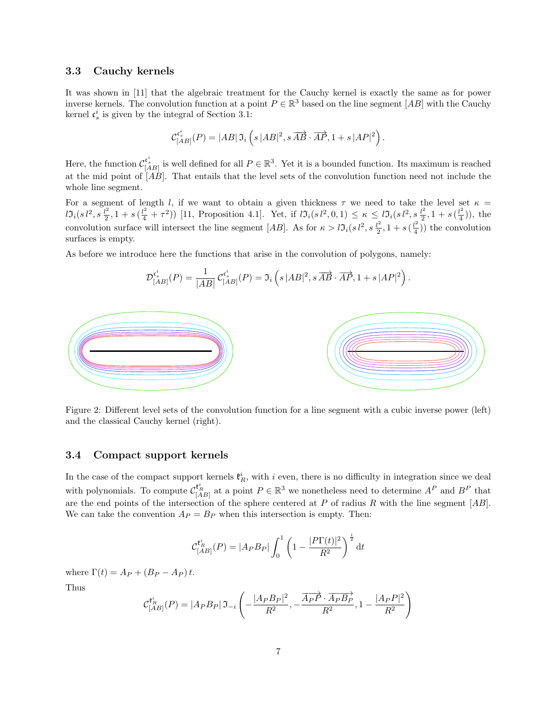#### 3.3 Cauchy kernels

It was shown in [11] that the algebraic treatment for the Cauchy kernel is exactly the same as for power inverse kernels. The convolution function at a point  $P \in \mathbb{R}^3$  based on the line segment  $[AB]$  with the Cauchy kernel  $\mathfrak{c}_s^i$  is given by the integral of Section 3.1:

$$
\mathcal{C}_{[AB]}^{\mathfrak{c}_s^i}(P) = |AB| \, \mathfrak{I}_i \left( s \, |AB|^2, s \, \overrightarrow{AB} \cdot \overrightarrow{AP}, 1 + s \, |AP|^2 \right).
$$

Here, the function  $\mathcal{C}_{[AB]}^{\mathfrak{c}_s^i}$  is well defined for all  $P \in \mathbb{R}^3$ . Yet it is a bounded function. Its maximum is reached at the mid point of  $\overline{AB}$ . That entails that the level sets of the convolution function need not include the whole line segment.

For a segment of length l, if we want to obtain a given thickness  $\tau$  we need to take the level set  $\kappa =$  $l\mathfrak{I}_i(s\,l^2,s\,\frac{l^2}{2}$  $\frac{d^2}{2}$ , 1 + s  $(\frac{l^2}{4} + \tau^2)$ ) [11, Proposition 4.1]. Yet, if  $l\mathfrak{I}_i(s l^2, 0, 1) \leq \kappa \leq l\mathfrak{I}_i(s l^2, s \frac{l^2}{2})$  $\frac{l^2}{2}$ , 1 + s ( $\frac{l^2}{4}$  $(\frac{1}{4}))$ , the convolution surface will intersect the line segment [AB]. As for  $\kappa > l \mathfrak{I}_i (s l^2, s \frac{l^2}{2})$  $\frac{l^2}{2}$ , 1 + s  $(\frac{l^2}{4})$  $(\frac{1}{4})$ ) the convolution surfaces is empty.

As before we introduce here the functions that arise in the convolution of polygons, namely:

$$
\mathcal{D}_{[AB]}^{\mathfrak{c}^i_s}(P)=\frac{1}{|AB|}\,\mathcal{C}_{[AB]}^{\mathfrak{c}^i_s}(P)=\mathfrak{I}_i\left(s\, |AB|^2,s\,\overrightarrow{AB}\cdot\overrightarrow{AP},1+s\, |AP|^2\right).
$$



Figure 2: Different level sets of the convolution function for a line segment with a cubic inverse power (left) and the classical Cauchy kernel (right).

#### 3.4 Compact support kernels

In the case of the compact support kernels  $\mathfrak{k}_R^i$ , with i even, there is no difficulty in integration since we deal with polynomials. To compute  $\mathcal{C}_{[AB]}^{t_R^i}$  at a point  $P \in \mathbb{R}^3$  we nonetheless need to determine  $A^P$  and  $B^P$  that are the end points of the intersection of the sphere centered at  $P$  of radius  $R$  with the line segment  $[AB]$ . We can take the convention  $A_P = B_P$  when this intersection is empty. Then:

$$
\mathcal{C}_{[AB]}^{\mathfrak{k}_R^i}(P) = |A_P B_P| \int_0^1 \left(1 - \frac{|P\Gamma(t)|^2}{R^2}\right)^{\frac{i}{2}} \mathrm{d}t
$$

where  $\Gamma(t) = A_P + (B_P - A_P)t$ . Thus

$$
\mathcal{C}_{[AB]}^{\mathfrak{k}_R^i}(P) = |A_P B_P| \mathfrak{I}_{-i} \left( -\frac{|A_P B_P|^2}{R^2}, -\frac{\overline{A_P P} \cdot \overline{A_P B_P}}{R^2}, 1 - \frac{|A_P P|^2}{R^2} \right)
$$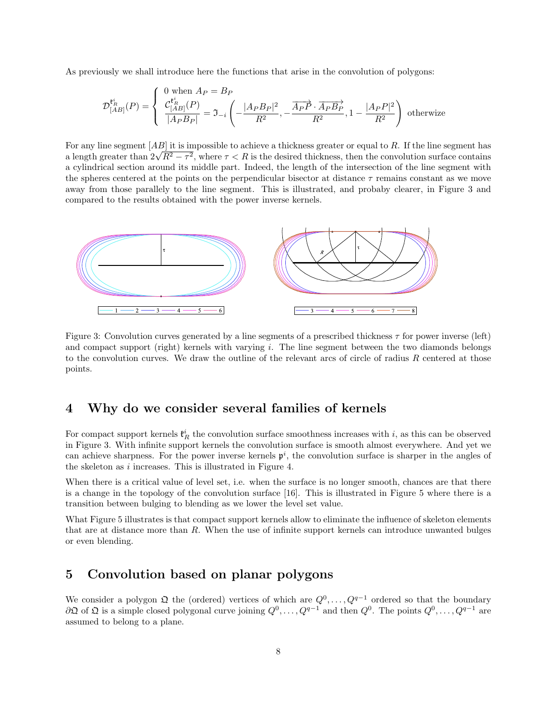As previously we shall introduce here the functions that arise in the convolution of polygons:

$$
\mathcal{D}_{[AB]}^{\mathfrak{k}_{R}^{i}}(P) = \begin{cases} 0 \text{ when } A_{P} = B_{P} \\ \frac{\mathcal{C}_{[AB]}^{\mathfrak{k}_{R}^{i}}(P)}{|A_{P}B_{P}|} = \mathfrak{I}_{-i} \left( -\frac{|A_{P}B_{P}|^{2}}{R^{2}}, -\frac{\overline{A_{P}P} \cdot \overline{A_{P}B_{P}}}{R^{2}}, 1 - \frac{|A_{P}P|^{2}}{R^{2}} \right) \text{ otherwise} \end{cases}
$$

For any line segment  $[AB]$  it is impossible to achieve a thickness greater or equal to R. If the line segment has a length greater than  $2\sqrt{R^2-\tau^2}$ , where  $\tau < R$  is the desired thickness, then the convolution surface contains a length greater than  $2\sqrt{R^2-\tau^2}$ , where  $\tau < R$  is the desired thickness, then the convolution surface a cylindrical section around its middle part. Indeed, the length of the intersection of the line segment with the spheres centered at the points on the perpendicular bisector at distance  $\tau$  remains constant as we move away from those parallely to the line segment. This is illustrated, and probaby clearer, in Figure 3 and compared to the results obtained with the power inverse kernels.



Figure 3: Convolution curves generated by a line segments of a prescribed thickness  $\tau$  for power inverse (left) and compact support (right) kernels with varying i. The line segment between the two diamonds belongs to the convolution curves. We draw the outline of the relevant arcs of circle of radius R centered at those points.

## 4 Why do we consider several families of kernels

For compact support kernels  $\mathfrak{k}_R^i$  the convolution surface smoothness increases with i, as this can be observed in Figure 3. With infinite support kernels the convolution surface is smooth almost everywhere. And yet we can achieve sharpness. For the power inverse kernels  $p^i$ , the convolution surface is sharper in the angles of the skeleton as i increases. This is illustrated in Figure 4.

When there is a critical value of level set, i.e. when the surface is no longer smooth, chances are that there is a change in the topology of the convolution surface [16]. This is illustrated in Figure 5 where there is a transition between bulging to blending as we lower the level set value.

What Figure 5 illustrates is that compact support kernels allow to eliminate the influence of skeleton elements that are at distance more than  $R$ . When the use of infinite support kernels can introduce unwanted bulges or even blending.

## 5 Convolution based on planar polygons

We consider a polygon  $\mathfrak Q$  the (ordered) vertices of which are  $Q^0, \ldots, Q^{q-1}$  ordered so that the boundary  $\partial\mathfrak{Q}$  of  $\mathfrak{Q}$  is a simple closed polygonal curve joining  $Q^0, \ldots, Q^{q-1}$  and then  $Q^0$ . The points  $Q^0, \ldots, Q^{q-1}$  are assumed to belong to a plane.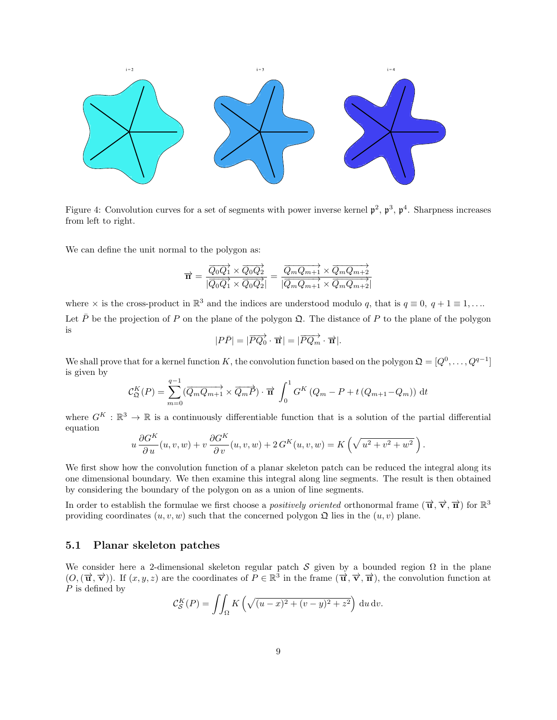

Figure 4: Convolution curves for a set of segments with power inverse kernel  $\mathfrak{p}^2$ ,  $\mathfrak{p}^3$ ,  $\mathfrak{p}^4$ . Sharpness increases from left to right.

We can define the unit normal to the polygon as:

$$
\overrightarrow{\mathbf{n}} = \frac{\overrightarrow{Q_0Q_1} \times \overrightarrow{Q_0Q_2}}{|\overrightarrow{Q_0Q_1} \times \overrightarrow{Q_0Q_2}|} = \frac{\overrightarrow{Q_mQ_{m+1}} \times \overrightarrow{Q_mQ_{m+2}}}{|\overrightarrow{Q_mQ_{m+1}} \times \overrightarrow{Q_mQ_{m+2}}|}
$$

where  $\times$  is the cross-product in  $\mathbb{R}^3$  and the indices are understood modulo q, that is  $q \equiv 0, q + 1 \equiv 1, \ldots$ Let  $\bar{P}$  be the projection of P on the plane of the polygon  $\Omega$ . The distance of P to the plane of the polygon is

$$
|P\overline{P}| = |\overrightarrow{PQ_0} \cdot \overrightarrow{\mathbf{n}}| = |\overrightarrow{PQ_m} \cdot \overrightarrow{\mathbf{n}}|.
$$

We shall prove that for a kernel function K, the convolution function based on the polygon  $\mathfrak{Q} = [Q^0, \ldots, Q^{q-1}]$ is given by

$$
\mathcal{C}_{\mathfrak{Q}}^{K}(P) = \sum_{m=0}^{q-1} (\overrightarrow{Q_mQ_{m+1}} \times \overrightarrow{Q_mP}) \cdot \overrightarrow{\mathbf{n}} \int_0^1 G^{K} (Q_m - P + t (Q_{m+1} - Q_m)) dt
$$

where  $G^K : \mathbb{R}^3 \to \mathbb{R}$  is a continuously differentiable function that is a solution of the partial differential equation

$$
u\frac{\partial G^K}{\partial u}(u,v,w) + v\frac{\partial G^K}{\partial v}(u,v,w) + 2\,G^K(u,v,w) = K\left(\sqrt{u^2 + v^2 + w^2}\,\right).
$$

We first show how the convolution function of a planar skeleton patch can be reduced the integral along its one dimensional boundary. We then examine this integral along line segments. The result is then obtained by considering the boundary of the polygon on as a union of line segments.

In order to establish the formulae we first choose a *positively oriented* orthonormal frame  $(\vec{u}, \vec{v}, \vec{n})$  for  $\mathbb{R}^3$ providing coordinates  $(u, v, w)$  such that the concerned polygon  $\mathfrak{Q}$  lies in the  $(u, v)$  plane.

#### 5.1 Planar skeleton patches

We consider here a 2-dimensional skeleton regular patch S given by a bounded region  $\Omega$  in the plane  $(O,(\vec{\mathbf{u}},\vec{\mathbf{v}}))$ . If  $(x, y, z)$  are the coordinates of  $P \in \mathbb{R}^3$  in the frame  $(\vec{\mathbf{u}},\vec{\mathbf{v}},\vec{\mathbf{n}})$ , the convolution function at  $P$  is defined by

$$
\mathcal{C}_{\mathcal{S}}^K(P) = \iint_{\Omega} K\left(\sqrt{(u-x)^2 + (v-y)^2 + z^2}\right) \, \mathrm{d}u \, \mathrm{d}v.
$$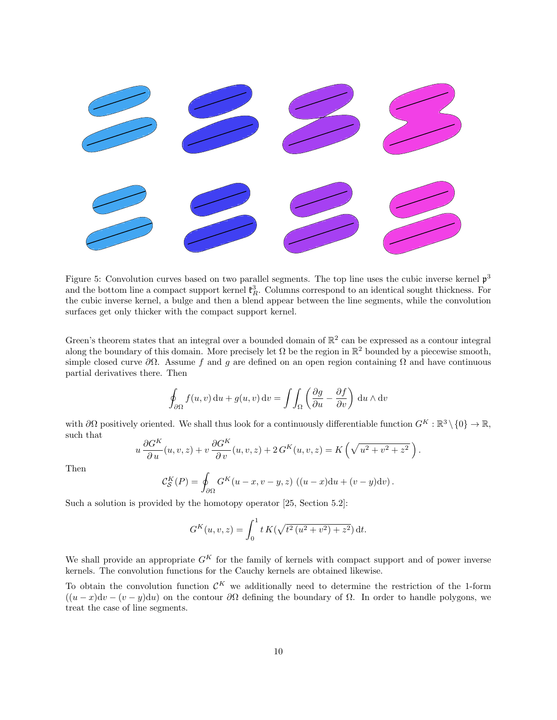

Figure 5: Convolution curves based on two parallel segments. The top line uses the cubic inverse kernel  $\mathfrak{p}^3$ and the bottom line a compact support kernel  $\mathfrak{k}_R^3$ . Columns correspond to an identical sought thickness. For the cubic inverse kernel, a bulge and then a blend appear between the line segments, while the convolution surfaces get only thicker with the compact support kernel.

Green's theorem states that an integral over a bounded domain of  $\mathbb{R}^2$  can be expressed as a contour integral along the boundary of this domain. More precisely let  $\Omega$  be the region in  $\mathbb{R}^2$  bounded by a piecewise smooth, simple closed curve  $\partial\Omega$ . Assume f and g are defined on an open region containing  $\Omega$  and have continuous partial derivatives there. Then

$$
\oint_{\partial\Omega} f(u,v) \, \mathrm{d}u + g(u,v) \, \mathrm{d}v = \iint_{\Omega} \left( \frac{\partial g}{\partial u} - \frac{\partial f}{\partial v} \right) \, \mathrm{d}u \wedge \mathrm{d}v
$$

with  $\partial\Omega$  positively oriented. We shall thus look for a continuously differentiable function  $G^K : \mathbb{R}^3 \setminus \{0\} \to \mathbb{R}$ , such that

$$
u\frac{\partial G^K}{\partial u}(u,v,z) + v\frac{\partial G^K}{\partial v}(u,v,z) + 2G^K(u,v,z) = K\left(\sqrt{u^2 + v^2 + z^2}\right).
$$

Then

$$
\mathcal{C}_{\mathcal{S}}^K(P) = \oint_{\partial\Omega} G^K(u - x, v - y, z) \left( (u - x) \mathrm{d}u + (v - y) \mathrm{d}v \right).
$$

Such a solution is provided by the homotopy operator [25, Section 5.2]:

$$
G^{K}(u, v, z) = \int_0^1 t K(\sqrt{t^2 (u^2 + v^2) + z^2}) dt.
$$

We shall provide an appropriate  $G<sup>K</sup>$  for the family of kernels with compact support and of power inverse kernels. The convolution functions for the Cauchy kernels are obtained likewise.

To obtain the convolution function  $\mathcal{C}^K$  we additionally need to determine the restriction of the 1-form  $((u-x)dv - (v-y)du)$  on the contour  $\partial\Omega$  defining the boundary of  $\Omega$ . In order to handle polygons, we treat the case of line segments.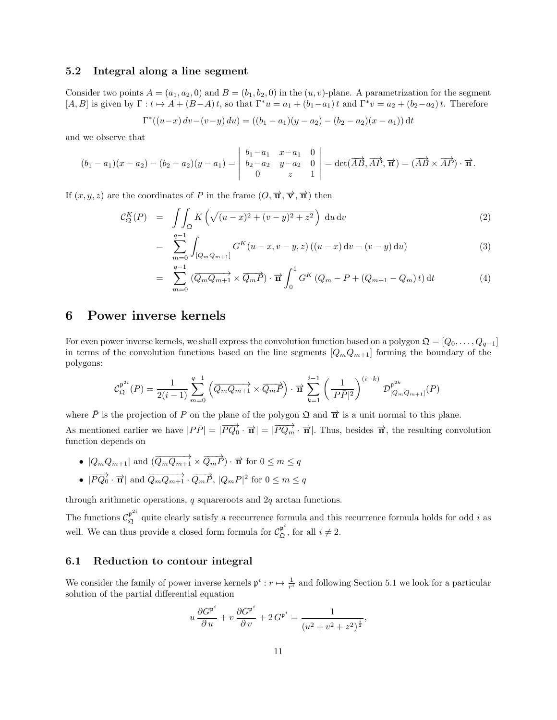#### 5.2 Integral along a line segment

Consider two points  $A = (a_1, a_2, 0)$  and  $B = (b_1, b_2, 0)$  in the  $(u, v)$ -plane. A parametrization for the segment  $[A, B]$  is given by  $\Gamma: t \mapsto A + (B-A)t$ , so that  $\Gamma^*u = a_1 + (b_1-a_1)t$  and  $\Gamma^*v = a_2 + (b_2-a_2)t$ . Therefore

$$
\Gamma^*((u-x)\,dv - (v-y)\,du) = ((b_1 - a_1)(y - a_2) - (b_2 - a_2)(x - a_1))\,dt
$$

and we observe that

$$
(b_1 - a_1)(x - a_2) - (b_2 - a_2)(y - a_1) = \begin{vmatrix} b_1 - a_1 & x - a_1 & 0 \\ b_2 - a_2 & y - a_2 & 0 \\ 0 & z & 1 \end{vmatrix} = \det(\overrightarrow{AB}, \overrightarrow{AP}, \overrightarrow{\pi}) = (\overrightarrow{AB} \times \overrightarrow{AP}) \cdot \overrightarrow{\pi}.
$$

If  $(x, y, z)$  are the coordinates of P in the frame  $(0, \overrightarrow{u}, \overrightarrow{v}, \overrightarrow{n})$  then

$$
\mathcal{C}_{\mathfrak{Q}}^K(P) = \iint_{\mathfrak{Q}} K\left(\sqrt{(u-x)^2 + (v-y)^2 + z^2}\right) \, \mathrm{d}u \, \mathrm{d}v \tag{2}
$$

$$
= \sum_{m=0}^{q-1} \int_{[Q_m Q_{m+1}]} G^K(u-x, v-y, z) \left( (u-x) \, dv - (v-y) \, du \right) \tag{3}
$$

$$
= \sum_{m=0}^{q-1} \left( \overrightarrow{Q_m Q_{m+1}} \times \overrightarrow{Q_m P} \right) \cdot \overrightarrow{\mathbf{n}} \int_0^1 G^K \left( Q_m - P + (Q_{m+1} - Q_m) t \right) dt \tag{4}
$$

## 6 Power inverse kernels

For even power inverse kernels, we shall express the convolution function based on a polygon  $\mathfrak{Q} = [Q_0, \ldots, Q_{q-1}]$ in terms of the convolution functions based on the line segments  $[Q_mQ_{m+1}]$  forming the boundary of the polygons:

$$
\mathcal{C}_{\mathfrak{Q}}^{\mathfrak{p}^{2i}}(P) = \frac{1}{2(i-1)} \sum_{m=0}^{q-1} \left( \overrightarrow{Q_m Q_{m+1}} \times \overrightarrow{Q_m P} \right) \cdot \overrightarrow{\mathbf{n}} \sum_{k=1}^{i-1} \left( \frac{1}{|P\overrightarrow{P}|^2} \right)^{(i-k)} \mathcal{D}_{[Q_m Q_{m+1}]}^{\mathfrak{p}^{2k}}(P)
$$

where  $\bar{P}$  is the projection of P on the plane of the polygon  $\Omega$  and  $\bar{\mathbf{n}}$  is a unit normal to this plane. As mentioned earlier we have  $|P\overline{P}| = |\overline{PQ_0} \cdot \overrightarrow{n}| = |\overline{PQ_m} \cdot \overrightarrow{n}|$ . Thus, besides  $\overrightarrow{n}$ , the resulting convolution function depends on

- $|Q_mQ_{m+1}|$  and  $(\overrightarrow{Q_mQ_{m+1}} \times \overrightarrow{Q_mP}) \cdot \overrightarrow{n}$  for  $0 \le m \le q$
- $|\overrightarrow{PQ_0} \cdot \overrightarrow{\mathbf{n}}|$  and  $\overrightarrow{Q_mQ_{m+1}} \cdot \overrightarrow{Q_mP}, |Q_mP|^2$  for  $0 \le m \le q$

through arithmetic operations,  $q$  squareroots and  $2q$  arctan functions.

The functions  $\mathcal{C}_{\mathfrak{Q}}^{\mathfrak{p}^{2i}}$  quite clearly satisfy a reccurrence formula and this recurrence formula holds for odd i as well. We can thus provide a closed form formula for  $\mathcal{C}_{\mathfrak{Q}}^{\mathfrak{p}^i}$ , for all  $i \neq 2$ .

### 6.1 Reduction to contour integral

We consider the family of power inverse kernels  $\mathfrak{p}^i : r \mapsto \frac{1}{r^i}$  and following Section 5.1 we look for a particular solution of the partial differential equation

$$
u\,\frac{\partial G^{\mathfrak{p}^i}}{\partial\,u} + v\,\frac{\partial G^{\mathfrak{p}^i}}{\partial\,v} + 2\,G^{\mathfrak{p}^i} = \frac{1}{\left(u^2 + v^2 + z^2\right)^{\frac{i}{2}}},
$$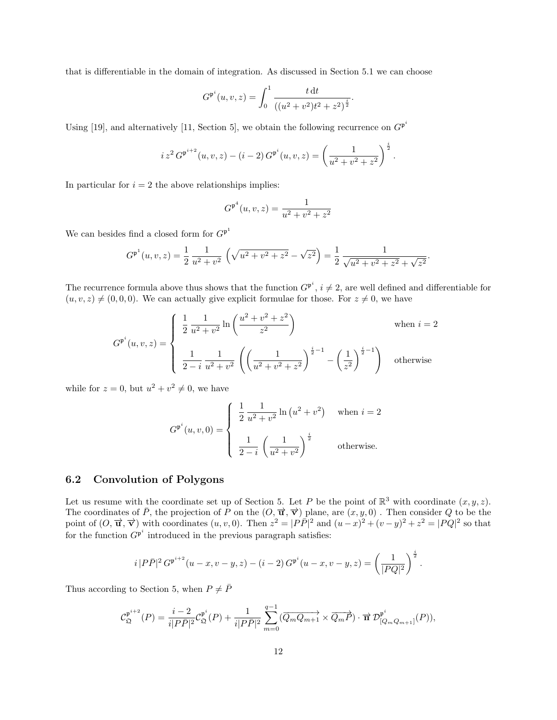that is differentiable in the domain of integration. As discussed in Section 5.1 we can choose

$$
G^{\mathfrak{p}^i}(u,v,z) = \int_0^1 \frac{t \, \mathrm{d}t}{\left( (u^2 + v^2)t^2 + z^2 \right)^{\frac{i}{2}}}.
$$

Using [19], and alternatively [11, Section 5], we obtain the following recurrence on  $G^{p^i}$ 

$$
i z2 G\mathfrak{p}^{i+2}(u, v, z) - (i - 2) G\mathfrak{p}^{i}(u, v, z) = \left(\frac{1}{u^{2} + v^{2} + z^{2}}\right)^{\frac{i}{2}}.
$$

In particular for  $i = 2$  the above relationships implies:

$$
G^{\mathfrak{p}^4}(u,v,z) = \frac{1}{u^2 + v^2 + z^2}
$$

We can be<br>sides find a closed form for  $G^{\mathfrak{p}^1}$ 

$$
G^{\mathfrak{p}^1}(u,v,z) = \frac{1}{2} \frac{1}{u^2 + v^2} \left( \sqrt{u^2 + v^2 + z^2} - \sqrt{z^2} \right) = \frac{1}{2} \frac{1}{\sqrt{u^2 + v^2 + z^2} + \sqrt{z^2}}.
$$

The recurrence formula above thus shows that the function  $G^{\mathfrak{p}^i}$ ,  $i \neq 2$ , are well defined and differentiable for  $(u, v, z) \neq (0, 0, 0)$ . We can actually give explicit formulae for those. For  $z \neq 0$ , we have

$$
G^{\mathfrak{p}^{i}}(u,v,z) = \begin{cases} \frac{1}{2} \frac{1}{u^{2}+v^{2}} \ln\left(\frac{u^{2}+v^{2}+z^{2}}{z^{2}}\right) & \text{when } i = 2\\ \frac{1}{2-i} \frac{1}{u^{2}+v^{2}} \left(\left(\frac{1}{u^{2}+v^{2}+z^{2}}\right)^{\frac{i}{2}-1} - \left(\frac{1}{z^{2}}\right)^{\frac{i}{2}-1}\right) & \text{otherwise} \end{cases}
$$

while for  $z = 0$ , but  $u^2 + v^2 \neq 0$ , we have

$$
G^{\mathfrak{p}^i}(u, v, 0) = \begin{cases} \frac{1}{2} \frac{1}{u^2 + v^2} \ln (u^2 + v^2) & \text{when } i = 2 \\ \frac{1}{2 - i} \left( \frac{1}{u^2 + v^2} \right)^{\frac{i}{2}} & \text{otherwise.} \end{cases}
$$

## 6.2 Convolution of Polygons

Let us resume with the coordinate set up of Section 5. Let P be the point of  $\mathbb{R}^3$  with coordinate  $(x, y, z)$ . The coordinates of  $\overline{P}$ , the projection of P on the  $(O, \overrightarrow{u}, \overrightarrow{v})$  plane, are  $(x, y, 0)$ . Then consider Q to be the point of  $(O, \vec{u}, \vec{v})$  with coordinates  $(u, v, 0)$ . Then  $z^2 = |P\bar{P}|^2$  and  $(u-x)^2 + (v-y)^2 + z^2 = |PQ|^2$  so that for the function  $G^{p^i}$  introduced in the previous paragraph satisfies:

$$
i\,|P\bar{P}|^2\,G^{\mathfrak{p}^{i+2}}(u-x,v-y,z)-(i-2)\,G^{\mathfrak{p}^{i}}(u-x,v-y,z)=\left(\frac{1}{|PQ|^2}\right)^{\frac{i}{2}}.
$$

Thus according to Section 5, when  $P \neq \overline{P}$ 

$$
\mathcal{C}_{\mathfrak{Q}}^{\mathfrak{p}^{i+2}}(P) = \frac{i-2}{i|P\bar{P}|^2}\mathcal{C}_{\mathfrak{Q}}^{\mathfrak{p}^i}(P) + \frac{1}{i|P\bar{P}|^2}\sum_{m=0}^{q-1}(\overrightarrow{Q_mQ_{m+1}} \times \overrightarrow{Q_mP}) \cdot \overrightarrow{\mathbf{n}} \mathcal{D}_{[Q_mQ_{m+1}]}^{\mathfrak{p}^i}(P)),
$$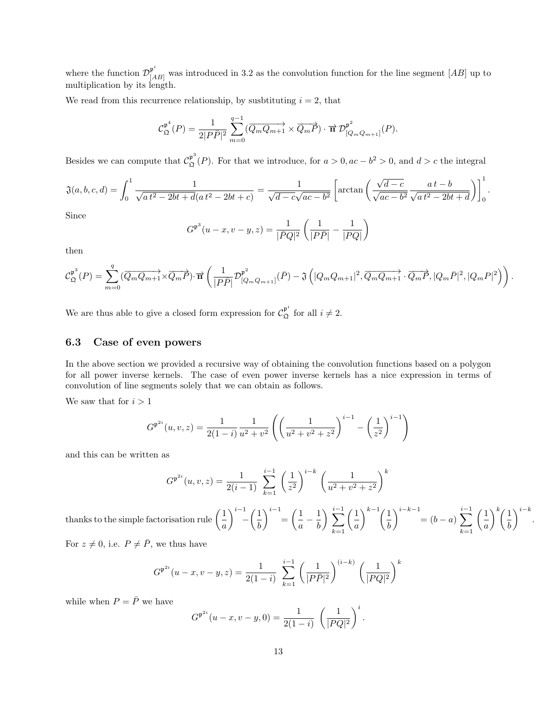where the function  $\mathcal{D}_{[AB]}^{\mathfrak{p}^i}$  was introduced in 3.2 as the convolution function for the line segment  $[AB]$  up to multiplication by its length.

We read from this recurrence relationship, by susbtituting  $i = 2$ , that

$$
\mathcal{C}_{\mathfrak{Q}}^{\mathfrak{p}^4}(P) = \frac{1}{2|P\overline{P}|^2} \sum_{m=0}^{q-1} (\overrightarrow{Q_mQ_{m+1}} \times \overrightarrow{Q_mP}) \cdot \overrightarrow{\mathbf{n}} \mathcal{D}_{[Q_mQ_{m+1}]}^{\mathfrak{p}^2}(P).
$$

Besides we can compute that  $\mathcal{C}_{\mathfrak{Q}}^{\mathfrak{p}^3}(P)$ . For that we introduce, for  $a > 0, ac - b^2 > 0$ , and  $d > c$  the integral

$$
\mathfrak{J}(a,b,c,d) = \int_0^1 \frac{1}{\sqrt{at^2 - 2bt + d(at^2 - 2bt + c)}} = \frac{1}{\sqrt{d - c}\sqrt{ac - b^2}} \left[ \arctan\left(\frac{\sqrt{d - c}}{\sqrt{ac - b^2}} \frac{at - b}{\sqrt{at^2 - 2bt + d}}\right) \right]_0^1.
$$

Since

$$
G^{\mathfrak{p}^3}(u-x,v-y,z) = \frac{1}{|\bar{P}Q|^2} \left( \frac{1}{|P\bar{P}|} - \frac{1}{|PQ|} \right)
$$

then

$$
\mathcal{C}_{\mathfrak{Q}}^{\mathfrak{p}^3}(P) = \sum_{m=0}^q (\overrightarrow{Q_mQ_{m+1}} \times \overrightarrow{Q_mP}) \cdot \overrightarrow{\mathbf{n}} \left( \frac{1}{|P\bar{P}|} \mathcal{D}_{[Q_mQ_{m+1}]}^{\mathfrak{p}^2}(\bar{P}) - \mathfrak{J}\left(|Q_mQ_{m+1}|^2, \overrightarrow{Q_mQ_{m+1}} \cdot \overrightarrow{Q_mP}, |Q_m\bar{P}|^2, |Q_mP|^2\right) \right).
$$

We are thus able to give a closed form expression for  $\mathcal{C}_{\mathfrak{Q}}^{\mathfrak{p}^i}$  for all  $i \neq 2$ .

## 6.3 Case of even powers

In the above section we provided a recursive way of obtaining the convolution functions based on a polygon for all power inverse kernels. The case of even power inverse kernels has a nice expression in terms of convolution of line segments solely that we can obtain as follows.

We saw that for  $i > 1$ 

$$
G^{\mathfrak{p}^{2i}}(u,v,z) = \frac{1}{2(1-i)} \frac{1}{u^2 + v^2} \left( \left( \frac{1}{u^2 + v^2 + z^2} \right)^{i-1} - \left( \frac{1}{z^2} \right)^{i-1} \right)
$$

and this can be written as

$$
G^{\mathfrak{p}^{2i}}(u,v,z) = \frac{1}{2(i-1)} \sum_{k=1}^{i-1} \left(\frac{1}{z^2}\right)^{i-k} \left(\frac{1}{u^2+v^2+z^2}\right)^k
$$

thanks to the simple factorisation rule  $\left( \frac{1}{n} \right)$ a  $\setminus^{i-1}$ −  $\sqrt{1}$ b  $\bigg)^{i-1} = \bigg( \frac{1}{-} \bigg)$  $\frac{-}{a}$  – 1 b  $\sum_{i=1}^{i-1}$  $k=1$  $\sqrt{1}$ a  $\lambda^{k-1}/1$ b  $\bigwedge^{i-k-1}$  $=(b-a)\sum$ i−1  $k=1$  $\sqrt{1}$ a  $\bigwedge^k$  (1 b  $\bigg)^{i-k}$ .

For  $z \neq 0$ , i.e.  $P \neq \overline{P}$ , we thus have

$$
G^{\mathfrak{p}^{2i}}(u-x,v-y,z) = \frac{1}{2(1-i)} \sum_{k=1}^{i-1} \left(\frac{1}{|P\bar{P}|^2}\right)^{(i-k)} \left(\frac{1}{|PQ|^2}\right)^k
$$

while when  $P = \bar{P}$  we have

$$
G^{\mathfrak{p}^{2i}}(u-x,v-y,0) = \frac{1}{2(1-i)} \left(\frac{1}{|PQ|^2}\right)^i.
$$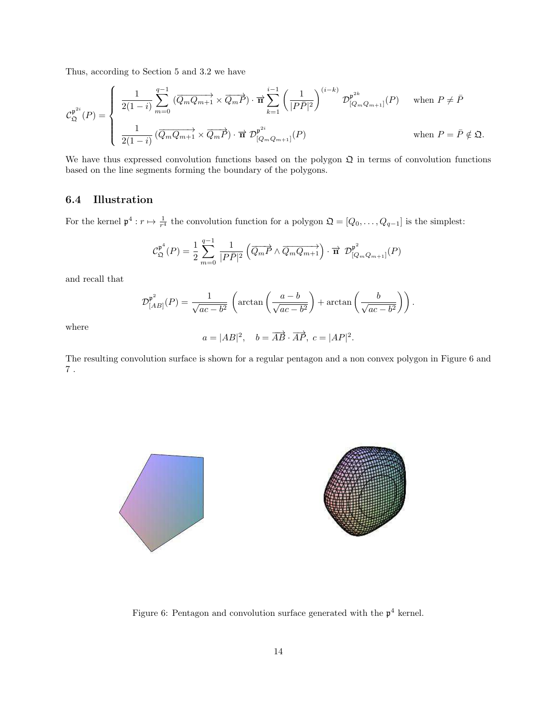Thus, according to Section 5 and 3.2 we have

$$
\mathcal{C}_{\mathfrak{Q}}^{\mathfrak{p}^{2i}}(P) = \begin{cases} \frac{1}{2(1-i)} \sum_{m=0}^{q-1} \left( \overrightarrow{Q_m Q_{m+1}} \times \overrightarrow{Q_m P} \right) \cdot \overrightarrow{\mathbf{n}} \sum_{k=1}^{i-1} \left( \frac{1}{|P\overrightarrow{P}|^2} \right)^{(i-k)} \mathcal{D}_{[Q_m Q_{m+1}]}^{\mathfrak{p}^{2k}}(P) & \text{when } P \neq \overrightarrow{P} \\\\ \frac{1}{2(1-i)} \left( \overrightarrow{Q_m Q_{m+1}} \times \overrightarrow{Q_m P} \right) \cdot \overrightarrow{\mathbf{n}} \ \mathcal{D}_{[Q_m Q_{m+1}]}^{\mathfrak{p}^{2i}}(P) & \text{when } P = \overrightarrow{P} \notin \mathfrak{Q}. \end{cases}
$$

We have thus expressed convolution functions based on the polygon  $\mathfrak Q$  in terms of convolution functions based on the line segments forming the boundary of the polygons.

## 6.4 Illustration

For the kernel  $\mathfrak{p}^4 : r \mapsto \frac{1}{r^4}$  the convolution function for a polygon  $\mathfrak{Q} = [Q_0, \ldots, Q_{q-1}]$  is the simplest:

$$
\mathcal{C}_{\mathfrak{Q}}^{\mathfrak{p}^4}(P) = \frac{1}{2} \sum_{m=0}^{q-1} \frac{1}{|P\bar{P}|^2} \left( \overrightarrow{Q_mP} \wedge \overrightarrow{Q_mQ_{m+1}} \right) \cdot \overrightarrow{\mathbf{n}} \ \mathcal{D}_{[Q_mQ_{m+1}]}^{\mathfrak{p}^2}(P)
$$

and recall that

$$
\mathcal{D}_{[AB]}^{\mathfrak{p}^2}(P) = \frac{1}{\sqrt{ac - b^2}} \left( \arctan\left(\frac{a - b}{\sqrt{ac - b^2}}\right) + \arctan\left(\frac{b}{\sqrt{ac - b^2}}\right) \right).
$$

where

$$
a = |AB|^2
$$
,  $b = \overrightarrow{AB} \cdot \overrightarrow{AP}$ ,  $c = |AP|^2$ .

The resulting convolution surface is shown for a regular pentagon and a non convex polygon in Figure 6 and  $\,7\,$  .



Figure 6: Pentagon and convolution surface generated with the  $p<sup>4</sup>$  kernel.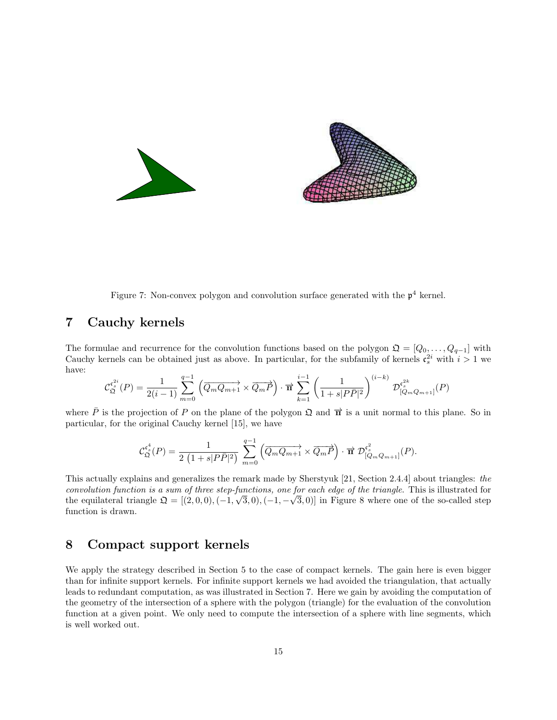



Figure 7: Non-convex polygon and convolution surface generated with the  $p<sup>4</sup>$  kernel.

## 7 Cauchy kernels

The formulae and recurrence for the convolution functions based on the polygon  $\mathfrak{Q} = [Q_0, \ldots, Q_{q-1}]$  with Cauchy kernels can be obtained just as above. In particular, for the subfamily of kernels  $\mathfrak{c}_s^{2i}$  with  $i > 1$  we have:

$$
\mathcal{C}_{\mathfrak{Q}}^{\mathfrak{c}_s^{2i}}(P) = \frac{1}{2(i-1)} \sum_{m=0}^{q-1} \left( \overrightarrow{Q_m Q_{m+1}} \times \overrightarrow{Q_m P} \right) \cdot \overrightarrow{\mathbf{n}} \sum_{k=1}^{i-1} \left( \frac{1}{1 + s|P\overrightarrow{P}|^2} \right)^{(i-k)} \mathcal{D}_{[Q_m Q_{m+1}]}^{\mathfrak{c}_s^{2k}}(P)
$$

where  $\bar{P}$  is the projection of P on the plane of the polygon  $\Omega$  and  $\vec{\mathbf{n}}$  is a unit normal to this plane. So in particular, for the original Cauchy kernel [15], we have

$$
\mathcal{C}_{\mathfrak{Q}}^{\mathfrak{c}_s^4}(P) = \frac{1}{2\,\left(1 + s|P\bar{P}|^2\right)}\,\sum_{m=0}^{q-1} \left(\overrightarrow{Q_mQ_{m+1}}\times\overrightarrow{Q_mP}\right)\cdot\overrightarrow{\mathbf{n}}\,\,\mathcal{D}^{\mathfrak{c}_s^2}_{[Q_mQ_{m+1}]}(P).
$$

This actually explains and generalizes the remark made by Sherstyuk [21, Section 2.4.4] about triangles: the convolution function is a sum of three step-functions, one for each edge of the triangle. This is illustrated for the equilateral triangle  $\mathfrak{Q} = [(2,0,0), (-1,\sqrt{3},0), (-1,-\sqrt{3},0)]$  in Figure 8 where one of the so-called step function is drawn.

## 8 Compact support kernels

We apply the strategy described in Section 5 to the case of compact kernels. The gain here is even bigger than for infinite support kernels. For infinite support kernels we had avoided the triangulation, that actually leads to redundant computation, as was illustrated in Section 7. Here we gain by avoiding the computation of the geometry of the intersection of a sphere with the polygon (triangle) for the evaluation of the convolution function at a given point. We only need to compute the intersection of a sphere with line segments, which is well worked out.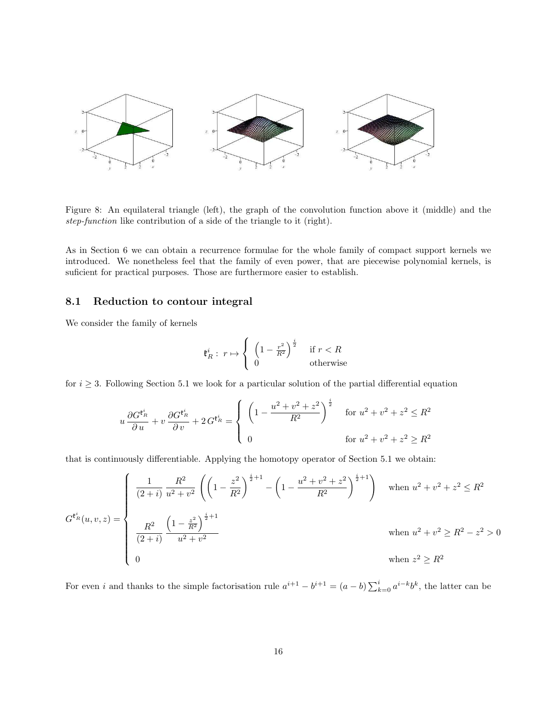

Figure 8: An equilateral triangle (left), the graph of the convolution function above it (middle) and the step-function like contribution of a side of the triangle to it (right).

As in Section 6 we can obtain a recurrence formulae for the whole family of compact support kernels we introduced. We nonetheless feel that the family of even power, that are piecewise polynomial kernels, is suficient for practical purposes. Those are furthermore easier to establish.

#### 8.1 Reduction to contour integral

We consider the family of kernels

$$
\mathfrak{k}_R^i: r \mapsto \left\{ \begin{array}{ll} \left(1 - \frac{r^2}{R^2}\right)^{\frac{i}{2}} & \text{if } r < R\\ 0 & \text{otherwise} \end{array} \right.
$$

for  $i \geq 3$ . Following Section 5.1 we look for a particular solution of the partial differential equation

$$
u \frac{\partial G^{\mathfrak{k}_R^i}}{\partial u} + v \frac{\partial G^{\mathfrak{k}_R^i}}{\partial v} + 2 G^{\mathfrak{k}_R^i} = \begin{cases} \left(1 - \frac{u^2 + v^2 + z^2}{R^2}\right)^{\frac{i}{2}} & \text{for } u^2 + v^2 + z^2 \le R^2\\ 0 & \text{for } u^2 + v^2 + z^2 \ge R^2 \end{cases}
$$

that is continuously differentiable. Applying the homotopy operator of Section 5.1 we obtain:

$$
G^{\mathfrak{k}_{R}^{i}}(u,v,z) = \begin{cases} \frac{1}{(2+i)} \frac{R^{2}}{u^{2}+v^{2}} \left( \left(1 - \frac{z^{2}}{R^{2}}\right)^{\frac{i}{2}+1} - \left(1 - \frac{u^{2}+v^{2}+z^{2}}{R^{2}}\right)^{\frac{i}{2}+1} \right) & \text{when } u^{2}+v^{2}+z^{2} \leq R^{2} \\ & \\ \frac{R^{2}}{(2+i)} \frac{\left(1 - \frac{z^{2}}{R^{2}}\right)^{\frac{i}{2}+1}}{u^{2}+v^{2}} & \text{when } u^{2}+v^{2} \geq R^{2}-z^{2} > 0 \\ 0 & \text{when } z^{2} \geq R^{2} \end{cases}
$$

For even i and thanks to the simple factorisation rule  $a^{i+1} - b^{i+1} = (a - b) \sum_{k=0}^{i} a^{i-k} b^k$ , the latter can be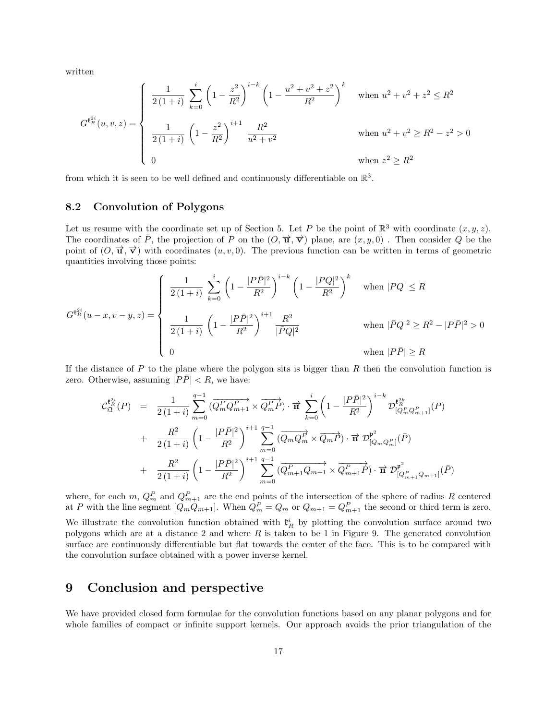written

$$
G^{\mathfrak{k}_{R}^{2i}}(u,v,z) = \begin{cases} \frac{1}{2(1+i)} \sum_{k=0}^{i} \left(1 - \frac{z^{2}}{R^{2}}\right)^{i-k} \left(1 - \frac{u^{2} + v^{2} + z^{2}}{R^{2}}\right)^{k} & \text{when } u^{2} + v^{2} + z^{2} \leq R^{2} \\ \frac{1}{2(1+i)} \left(1 - \frac{z^{2}}{R^{2}}\right)^{i+1} \frac{R^{2}}{u^{2} + v^{2}} & \text{when } u^{2} + v^{2} \geq R^{2} - z^{2} > 0 \\ 0 & \text{when } z^{2} \geq R^{2} \end{cases}
$$

from which it is seen to be well defined and continuously differentiable on  $\mathbb{R}^3$ .

#### 8.2 Convolution of Polygons

Let us resume with the coordinate set up of Section 5. Let P be the point of  $\mathbb{R}^3$  with coordinate  $(x, y, z)$ . The coordinates of  $\bar{P}$ , the projection of P on the  $(O, \vec{u}, \vec{v})$  plane, are  $(x, y, 0)$ . Then consider Q be the point of  $(O, \vec{u}, \vec{v})$  with coordinates  $(u, v, 0)$ . The previous function can be written in terms of geometric quantities involving those points:

$$
G^{\mathfrak{k}_{R}^{2i}}(u-x,v-y,z) = \begin{cases} \frac{1}{2(1+i)} \sum_{k=0}^{i} \left(1 - \frac{|P\bar{P}|^{2}}{R^{2}}\right)^{i-k} \left(1 - \frac{|PQ|^{2}}{R^{2}}\right)^{k} & \text{when } |PQ| \le R\\ \frac{1}{2(1+i)} \left(1 - \frac{|P\bar{P}|^{2}}{R^{2}}\right)^{i+1} \frac{R^{2}}{|\bar{P}Q|^{2}} & \text{when } |\bar{P}Q|^{2} \ge R^{2} - |P\bar{P}|^{2} > 0\\ 0 & \text{when } |P\bar{P}| \ge R \end{cases}
$$

If the distance of  $P$  to the plane where the polygon sits is bigger than  $R$  then the convolution function is zero. Otherwise, assuming  $|P\overline{P}| < R$ , we have:

$$
\mathcal{C}_{\mathfrak{Q}}^{\mathfrak{k}_{R}^{2i}}(P) = \frac{1}{2(1+i)} \sum_{m=0}^{q-1} (\overline{Q_{m}^{P}Q_{m+1}^{P}} \times \overline{Q_{m}^{P}P}) \cdot \overrightarrow{n} \sum_{k=0}^{i} \left(1 - \frac{|P\bar{P}|^{2}}{R^{2}}\right)^{i-k} \mathcal{D}_{[Q_{m}^{P}Q_{m+1}^{P}]}^{ \mathfrak{k}_{R}^{2k}}(P) + \frac{R^{2}}{2(1+i)} \left(1 - \frac{|P\bar{P}|^{2}}{R^{2}}\right)^{i+1} \sum_{m=0}^{q-1} (\overline{Q_{m}Q_{m}^{P}} \times \overline{Q_{m}P}) \cdot \overrightarrow{n} \mathcal{D}_{[Q_{m}Q_{m}^{P}]}^{ \mathfrak{p}^{2}}(\overline{P}) + \frac{R^{2}}{2(1+i)} \left(1 - \frac{|P\bar{P}|^{2}}{R^{2}}\right)^{i+1} \sum_{m=0}^{q-1} (\overline{Q_{m+1}^{P}Q_{m+1}} \times \overline{Q_{m+1}^{P}P}) \cdot \overrightarrow{n} \mathcal{D}_{[Q_{m+1}^{P}Q_{m+1}]}^{ \mathfrak{p}^{2}}(\overline{P})
$$

where, for each m,  $Q_m^P$  and  $Q_{m+1}^P$  are the end points of the intersection of the sphere of radius R centered at P with the line segment  $[Q_mQ_{m+1}]$ . When  $Q_m^P = Q_m$  or  $Q_{m+1} = Q_{m+1}^P$  the second or third term is zero. We illustrate the convolution function obtained with  $\mathfrak{k}_R^i$  by plotting the convolution surface around two polygons which are at a distance 2 and where  $R$  is taken to be 1 in Figure 9. The generated convolution surface are continuously differentiable but flat towards the center of the face. This is to be compared with the convolution surface obtained with a power inverse kernel.

## 9 Conclusion and perspective

We have provided closed form formulae for the convolution functions based on any planar polygons and for whole families of compact or infinite support kernels. Our approach avoids the prior triangulation of the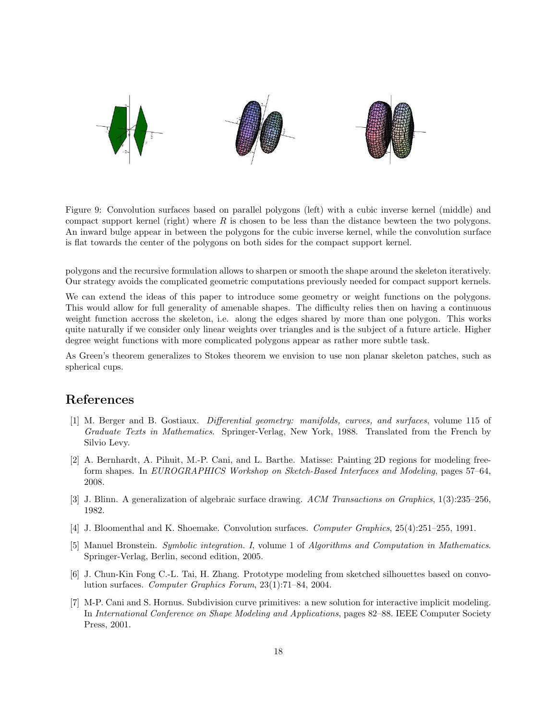

Figure 9: Convolution surfaces based on parallel polygons (left) with a cubic inverse kernel (middle) and compact support kernel (right) where  $R$  is chosen to be less than the distance bewteen the two polygons. An inward bulge appear in between the polygons for the cubic inverse kernel, while the convolution surface is flat towards the center of the polygons on both sides for the compact support kernel.

polygons and the recursive formulation allows to sharpen or smooth the shape around the skeleton iteratively. Our strategy avoids the complicated geometric computations previously needed for compact support kernels.

We can extend the ideas of this paper to introduce some geometry or weight functions on the polygons. This would allow for full generality of amenable shapes. The difficulty relies then on having a continuous weight function accross the skeleton, i.e. along the edges shared by more than one polygon. This works quite naturally if we consider only linear weights over triangles and is the subject of a future article. Higher degree weight functions with more complicated polygons appear as rather more subtle task.

As Green's theorem generalizes to Stokes theorem we envision to use non planar skeleton patches, such as spherical cups.

## References

- [1] M. Berger and B. Gostiaux. Differential geometry: manifolds, curves, and surfaces, volume 115 of Graduate Texts in Mathematics. Springer-Verlag, New York, 1988. Translated from the French by Silvio Levy.
- [2] A. Bernhardt, A. Pihuit, M.-P. Cani, and L. Barthe. Matisse: Painting 2D regions for modeling freeform shapes. In EUROGRAPHICS Workshop on Sketch-Based Interfaces and Modeling, pages 57–64, 2008.
- [3] J. Blinn. A generalization of algebraic surface drawing. ACM Transactions on Graphics, 1(3):235–256, 1982.
- [4] J. Bloomenthal and K. Shoemake. Convolution surfaces. Computer Graphics, 25(4):251–255, 1991.
- [5] Manuel Bronstein. Symbolic integration. I, volume 1 of Algorithms and Computation in Mathematics. Springer-Verlag, Berlin, second edition, 2005.
- [6] J. Chun-Kin Fong C.-L. Tai, H. Zhang. Prototype modeling from sketched silhouettes based on convolution surfaces. Computer Graphics Forum, 23(1):71–84, 2004.
- [7] M-P. Cani and S. Hornus. Subdivision curve primitives: a new solution for interactive implicit modeling. In International Conference on Shape Modeling and Applications, pages 82–88. IEEE Computer Society Press, 2001.